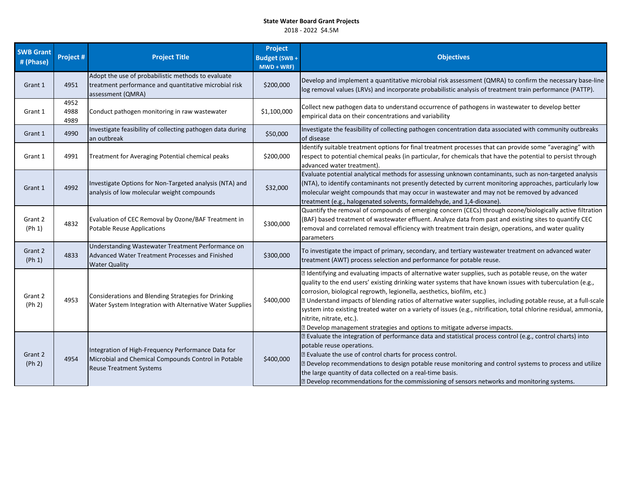| <b>SWB Grant</b><br># (Phase) | <b>Project#</b>      | <b>Project Title</b>                                                                                                                        | Project<br>Budget (SWB +<br>$MWD + WRF$ | <b>Objectives</b>                                                                                                                                                                                                                                                                                                                                                                                                                                                                                                                                                                                                                                      |
|-------------------------------|----------------------|---------------------------------------------------------------------------------------------------------------------------------------------|-----------------------------------------|--------------------------------------------------------------------------------------------------------------------------------------------------------------------------------------------------------------------------------------------------------------------------------------------------------------------------------------------------------------------------------------------------------------------------------------------------------------------------------------------------------------------------------------------------------------------------------------------------------------------------------------------------------|
| Grant 1                       | 4951                 | Adopt the use of probabilistic methods to evaluate<br>treatment performance and quantitative microbial risk<br>assessment (QMRA)            | \$200,000                               | Develop and implement a quantitative microbial risk assessment (QMRA) to confirm the necessary base-line<br>log removal values (LRVs) and incorporate probabilistic analysis of treatment train performance (PATTP).                                                                                                                                                                                                                                                                                                                                                                                                                                   |
| Grant 1                       | 4952<br>4988<br>4989 | Conduct pathogen monitoring in raw wastewater                                                                                               | \$1,100,000                             | Collect new pathogen data to understand occurrence of pathogens in wastewater to develop better<br>empirical data on their concentrations and variability                                                                                                                                                                                                                                                                                                                                                                                                                                                                                              |
| Grant 1                       | 4990                 | Investigate feasibility of collecting pathogen data during<br>an outbreak                                                                   | \$50,000                                | Investigate the feasibility of collecting pathogen concentration data associated with community outbreaks<br>of disease                                                                                                                                                                                                                                                                                                                                                                                                                                                                                                                                |
| Grant 1                       | 4991                 | Treatment for Averaging Potential chemical peaks                                                                                            | \$200,000                               | Identify suitable treatment options for final treatment processes that can provide some "averaging" with<br>respect to potential chemical peaks (in particular, for chemicals that have the potential to persist through<br>advanced water treatment).                                                                                                                                                                                                                                                                                                                                                                                                 |
| Grant 1                       | 4992                 | Investigate Options for Non-Targeted analysis (NTA) and<br>analysis of low molecular weight compounds                                       | \$32,000                                | Evaluate potential analytical methods for assessing unknown contaminants, such as non-targeted analysis<br>(NTA), to identify contaminants not presently detected by current monitoring approaches, particularly low<br>molecular weight compounds that may occur in wastewater and may not be removed by advanced<br>treatment (e.g., halogenated solvents, formaldehyde, and 1,4-dioxane).                                                                                                                                                                                                                                                           |
| Grant 2<br>$(\mathsf{Ph}\,1)$ | 4832                 | Evaluation of CEC Removal by Ozone/BAF Treatment in<br><b>Potable Reuse Applications</b>                                                    | \$300,000                               | Quantify the removal of compounds of emerging concern (CECs) through ozone/biologically active filtration<br>(BAF) based treatment of wastewater effluent. Analyze data from past and existing sites to quantify CEC<br>removal and correlated removal efficiency with treatment train design, operations, and water quality<br>parameters                                                                                                                                                                                                                                                                                                             |
| Grant 2<br>(Ph 1)             | 4833                 | Understanding Wastewater Treatment Performance on<br>Advanced Water Treatment Processes and Finished<br><b>Water Quality</b>                | \$300,000                               | To investigate the impact of primary, secondary, and tertiary wastewater treatment on advanced water<br>treatment (AWT) process selection and performance for potable reuse.                                                                                                                                                                                                                                                                                                                                                                                                                                                                           |
| Grant 2<br>(Ph 2)             | 4953                 | Considerations and Blending Strategies for Drinking<br>Water System Integration with Alternative Water Supplies                             | \$400,000                               | I Identifying and evaluating impacts of alternative water supplies, such as potable reuse, on the water<br>quality to the end users' existing drinking water systems that have known issues with tuberculation (e.g.,<br>corrosion, biological regrowth, legionella, aesthetics, biofilm, etc.)<br>[2] Understand impacts of blending ratios of alternative water supplies, including potable reuse, at a full-scale<br>system into existing treated water on a variety of issues (e.g., nitrification, total chlorine residual, ammonia,<br>nitrite, nitrate, etc.).<br><b>Develop management strategies and options to mitigate adverse impacts.</b> |
| Grant 2<br>(Ph 2)             | 4954                 | Integration of High-Frequency Performance Data for<br>Microbial and Chemical Compounds Control in Potable<br><b>Reuse Treatment Systems</b> | \$400,000                               | I Evaluate the integration of performance data and statistical process control (e.g., control charts) into<br>potable reuse operations.<br>I Evaluate the use of control charts for process control.<br>2 Develop recommendations to design potable reuse monitoring and control systems to process and utilize<br>the large quantity of data collected on a real-time basis.<br>2 Develop recommendations for the commissioning of sensors networks and monitoring systems.                                                                                                                                                                           |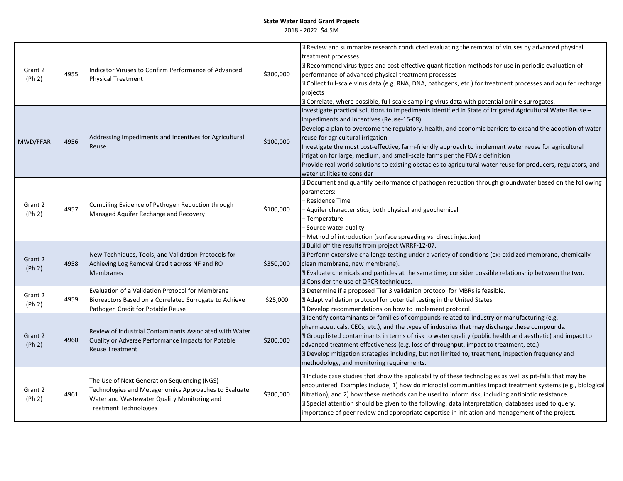| Grant 2<br>(Ph 2) | 4955 | Indicator Viruses to Confirm Performance of Advanced<br><b>Physical Treatment</b>                                                                                                   | \$300,000 | Z Review and summarize research conducted evaluating the removal of viruses by advanced physical<br>treatment processes.<br>Z Recommend virus types and cost-effective quantification methods for use in periodic evaluation of<br>performance of advanced physical treatment processes<br>[2] Collect full-scale virus data (e.g. RNA, DNA, pathogens, etc.) for treatment processes and aquifer recharge<br>projects<br>Z Correlate, where possible, full-scale sampling virus data with potential online surrogates.                                                                                                                          |
|-------------------|------|-------------------------------------------------------------------------------------------------------------------------------------------------------------------------------------|-----------|--------------------------------------------------------------------------------------------------------------------------------------------------------------------------------------------------------------------------------------------------------------------------------------------------------------------------------------------------------------------------------------------------------------------------------------------------------------------------------------------------------------------------------------------------------------------------------------------------------------------------------------------------|
| MWD/FFAR          | 4956 | Addressing Impediments and Incentives for Agricultural<br>Reuse                                                                                                                     | \$100,000 | Investigate practical solutions to impediments identified in State of Irrigated Agricultural Water Reuse -<br>Impediments and Incentives (Reuse-15-08)<br>Develop a plan to overcome the regulatory, health, and economic barriers to expand the adoption of water<br>reuse for agricultural irrigation<br>Investigate the most cost-effective, farm-friendly approach to implement water reuse for agricultural<br>irrigation for large, medium, and small-scale farms per the FDA's definition<br>Provide real-world solutions to existing obstacles to agricultural water reuse for producers, regulators, and<br>water utilities to consider |
| Grant 2<br>(Ph 2) | 4957 | Compiling Evidence of Pathogen Reduction through<br>Managed Aquifer Recharge and Recovery                                                                                           | \$100,000 | a Document and quantify performance of pathogen reduction through groundwater based on the following<br>parameters:<br>- Residence Time<br>- Aquifer characteristics, both physical and geochemical<br>- Temperature<br>- Source water quality<br>Method of introduction (surface spreading vs. direct injection)                                                                                                                                                                                                                                                                                                                                |
| Grant 2<br>(Ph 2) | 4958 | New Techniques, Tools, and Validation Protocols for<br>Achieving Log Removal Credit across NF and RO<br><b>Membranes</b>                                                            | \$350,000 | <b>B</b> Build off the results from project WRRF-12-07.<br>Perform extensive challenge testing under a variety of conditions (ex: oxidized membrane, chemically<br>clean membrane, new membrane).<br>[2] Evaluate chemicals and particles at the same time; consider possible relationship between the two.<br><b>Z</b> Consider the use of QPCR techniques.                                                                                                                                                                                                                                                                                     |
| Grant 2<br>(Ph 2) | 4959 | Evaluation of a Validation Protocol for Membrane<br>Bioreactors Based on a Correlated Surrogate to Achieve<br>Pathogen Credit for Potable Reuse                                     | \$25,000  | Determine if a proposed Tier 3 validation protocol for MBRs is feasible.<br>a Adapt validation protocol for potential testing in the United States.<br><b>Develop recommendations on how to implement protocol.</b>                                                                                                                                                                                                                                                                                                                                                                                                                              |
| Grant 2<br>(Ph 2) | 4960 | Review of Industrial Contaminants Associated with Water<br>Quality or Adverse Performance Impacts for Potable<br><b>Reuse Treatment</b>                                             | \$200,000 | al Identify contaminants or families of compounds related to industry or manufacturing (e.g.<br>pharmaceuticals, CECs, etc.), and the types of industries that may discharge these compounds.<br><b>If</b> Group listed contaminants in terms of risk to water quality (public health and aesthetic) and impact to<br>advanced treatment effectiveness (e.g. loss of throughput, impact to treatment, etc.).<br>Develop mitigation strategies including, but not limited to, treatment, inspection frequency and<br>methodology, and monitoring requirements.                                                                                    |
| Grant 2<br>(Ph 2) | 4961 | The Use of Next Generation Sequencing (NGS)<br>Technologies and Metagenomics Approaches to Evaluate<br>Water and Wastewater Quality Monitoring and<br><b>Treatment Technologies</b> | \$300,000 | I Include case studies that show the applicability of these technologies as well as pit-falls that may be<br>encountered. Examples include, 1) how do microbial communities impact treatment systems (e.g., biological<br>filtration), and 2) how these methods can be used to inform risk, including antibiotic resistance.<br>[2] Special attention should be given to the following: data interpretation, databases used to query,<br>importance of peer review and appropriate expertise in initiation and management of the project.                                                                                                        |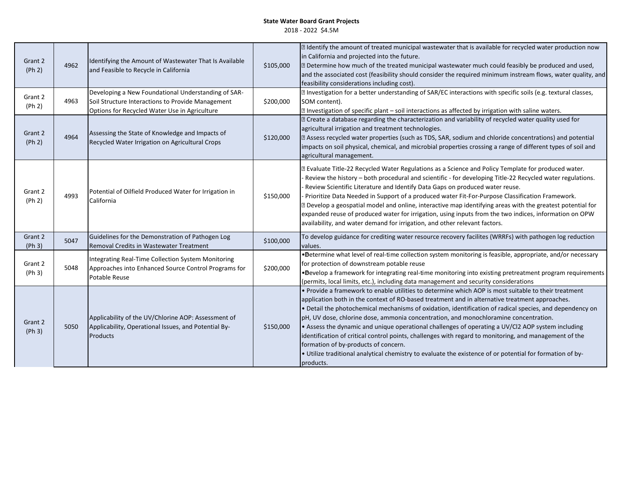| Grant 2<br>(Ph 2) | 4962 | Identifying the Amount of Wastewater That Is Available<br>and Feasible to Recycle in California                                                           | \$105,000 | I Identify the amount of treated municipal wastewater that is available for recycled water production now<br>in California and projected into the future.<br>Determine how much of the treated municipal wastewater much could feasibly be produced and used,<br>and the associated cost (feasibility should consider the required minimum instream flows, water quality, and<br>feasibility considerations including cost).                                                                                                                                                                                                                                                                                                                                                                |
|-------------------|------|-----------------------------------------------------------------------------------------------------------------------------------------------------------|-----------|---------------------------------------------------------------------------------------------------------------------------------------------------------------------------------------------------------------------------------------------------------------------------------------------------------------------------------------------------------------------------------------------------------------------------------------------------------------------------------------------------------------------------------------------------------------------------------------------------------------------------------------------------------------------------------------------------------------------------------------------------------------------------------------------|
| Grant 2<br>(Ph 2) | 4963 | Developing a New Foundational Understanding of SAR-<br>Soil Structure Interactions to Provide Management<br>Options for Recycled Water Use in Agriculture | \$200,000 | I Investigation for a better understanding of SAR/EC interactions with specific soils (e.g. textural classes,<br>SOM content).<br><b>Z</b> Investigation of specific plant - soil interactions as affected by irrigation with saline waters.                                                                                                                                                                                                                                                                                                                                                                                                                                                                                                                                                |
| Grant 2<br>(Ph 2) | 4964 | Assessing the State of Knowledge and Impacts of<br>Recycled Water Irrigation on Agricultural Crops                                                        | \$120,000 | D Create a database regarding the characterization and variability of recycled water quality used for<br>agricultural irrigation and treatment technologies.<br>[2] Assess recycled water properties (such as TDS, SAR, sodium and chloride concentrations) and potential<br>impacts on soil physical, chemical, and microbial properties crossing a range of different types of soil and<br>agricultural management.                                                                                                                                                                                                                                                                                                                                                                       |
| Grant 2<br>(Ph 2) | 4993 | Potential of Oilfield Produced Water for Irrigation in<br>California                                                                                      | \$150,000 | I Evaluate Title-22 Recycled Water Regulations as a Science and Policy Template for produced water.<br>Review the history - both procedural and scientific - for developing Title-22 Recycled water regulations.<br>Review Scientific Literature and Identify Data Gaps on produced water reuse.<br>Prioritize Data Needed in Support of a produced water Fit-For-Purpose Classification Framework.<br>a Develop a geospatial model and online, interactive map identifying areas with the greatest potential for<br>expanded reuse of produced water for irrigation, using inputs from the two indices, information on OPW<br>availability, and water demand for irrigation, and other relevant factors.                                                                                   |
| Grant 2<br>(Ph 3) | 5047 | Guidelines for the Demonstration of Pathogen Log<br>Removal Credits in Wastewater Treatment                                                               | \$100,000 | To develop guidance for crediting water resource recovery facilites (WRRFs) with pathogen log reduction<br>values.                                                                                                                                                                                                                                                                                                                                                                                                                                                                                                                                                                                                                                                                          |
| Grant 2<br>(Ph 3) | 5048 | Integrating Real-Time Collection System Monitoring<br>Approaches into Enhanced Source Control Programs for<br>Potable Reuse                               | \$200,000 | . Determine what level of real-time collection system monitoring is feasible, appropriate, and/or necessary<br>for protection of downstream potable reuse<br>. Develop a framework for integrating real-time monitoring into existing pretreatment program requirements<br>(permits, local limits, etc.), including data management and security considerations                                                                                                                                                                                                                                                                                                                                                                                                                             |
| Grant 2<br>(Ph 3) | 5050 | Applicability of the UV/Chlorine AOP: Assessment of<br>Applicability, Operational Issues, and Potential By-<br>Products                                   | \$150,000 | • Provide a framework to enable utilities to determine which AOP is most suitable to their treatment<br>application both in the context of RO-based treatment and in alternative treatment approaches.<br>. Detail the photochemical mechanisms of oxidation, identification of radical species, and dependency on<br>pH, UV dose, chlorine dose, ammonia concentration, and monochloramine concentration.<br>• Assess the dynamic and unique operational challenges of operating a UV/Cl2 AOP system including<br>identification of critical control points, challenges with regard to monitoring, and management of the<br>formation of by-products of concern.<br>. Utilize traditional analytical chemistry to evaluate the existence of or potential for formation of by-<br>products. |